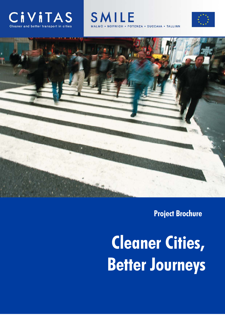







# **Project Brochure**

 **Cleaner Cities, Better Journeys**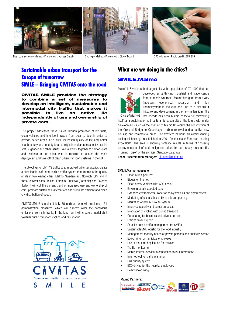





Bus route system – Malmo - Photo credit: Kasper Dudzik Cycling – Malmo - Photo credit: City of Malmö GPS – Malmo - Photo credit: 215 215

## **Sustainable urban transport for the Europe of tomorrow SMILE – Bringing CIVITAS onto the road**

**CIVITAS SMILE provides the strategy to combine a set of measures to develop an intelligent, sustainable and intermodal city traffic that makes it possible to live an active life independently of use and ownership of private cars.** 

The project addresses these issues through promotion of bio fuels, clean vehicles and intelligent travels from door to door in order to provide better urban air quality, increased quality of life and better health, safety and security to all of city's inhabitants irrespective social status, gender and other issues. We will work together to demonstrate and evaluate in our cities what is required to ensure the rapid deployment and take-off of clean urban transport systems in the EU.

The objectives of CIVITAS SMILE are: improved urban air quality, create a sustainable, safe and flexible traffic system that improves the quality of life in two leading cities, Malmö (Sweden) and Norwich (UK), and in three follower sites, Tallinn (Estonia), Suceava (Romania) and Potenza (Italy). It will cut the current trend of increased use and ownership of cars, promote sustainable alternatives and stimulate efficient and clean city distribution of goods.

CIVITAS SMILE contains totally 30 partners who will implement 51 demonstration measures, which will directly lower the hazardous emissions from city traffic. In the long run it will create a modal shift towards public transport, cycling and car-sharing.



## **What are we doing in the cities?**

# **S MILE.Malmo**

Malmö is Sweden's third largest city with a population of 271 000 that has



developed as a thriving industrial and trade centre from its mediaeval roots. Malmö has gone from a very important economical recession and high unemployment in the 80s and 90s to a city full if initiative and development in the new millennium. The City of Malmö last decade has seen Malmö consciously reinventing

itself as a sustainable multi-cultural European city of the future with major developments such as the opening of Malmö University, the construction of the Öresund Bridge to Copenhagen, urban renewal and attractive new housing and commercial areas. The Western harbour, an award-winning ecological housing area finished in 2001 for the major European housing expo Bo01. The area is showing fantastic results in terms of "housing energy consumption" and design and added to that proudly presents the "Turning Torso" by the architect Santiago Calatrava.

Local Dissemination Manager: ola.nord@malmo.se

#### SMILE.Malmo focuses on:

- Clean Municipal Fleet
- Biogas on the net
- Clean heavy vehicles with CO2 cooler
- Environmentally adopted cars
- Extended environmental zone for heavy vehicles and enforcement
- Marketing of clean vehicles by subsidized parking
- Marketing of new bus route system
- Improved security and safety on buses
- Integration of cycling with public transport
- Car sharing for business and private persons
- Freight driver support
- Satellite based traffic management for SME's
- SustainableSME logistic for the food industry
- Management mobility needs of private persons and business sector
- Eco-driving for municipal employees
- Use of teal time application for traveler
- Traffic monitoring
- Mobile internet service in connection to bus information
- Internet tool for traffic planning
- Bus priority system
- ECO driving for the hospital employees
- Heavy eco-driving

#### Malmo Partners:

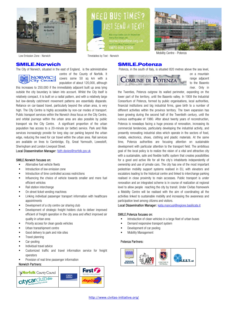





Low Emission Zone - Norwich Timetables by Text - Norwich

Potenza, in the south of Italy, is situated 820 metres above the sea level,

### **SMILE.Norwich**

The City of Norwich, situated in the east of England, is the administrative



centre of the County of Norfolk. It covers some 50 sq km with a population of about 120,000, although

this increases to 250,000 if the immediately adjacent built up area lying outside the city boundary is taken into account. Whilst the City itself is relatively compact, it is built on a radial pattern, and with a relatively large but low-density catchment movement patterns are essentially disparate. Reliance on car-based travel, particularly beyond the urban area, is very high. The City Centre is highly accessible by non-car modes of transport. Public transport services within the Norwich Area focus on the City Centre, and orbital journeys within the urban area are also possible by public transport via the City Centre. A significant proportion of the urban population has access to a 20-minute (or better) service. Park and Ride services increasingly provide for long stay car parking beyond the urban edge, reducing the need for car travel within the urban area. Rail services are available on lines to Cambridge, Ely, Great Yarmouth, Lowestoft, Sheringham and London Liverpool Street.

Local Disssemination Manager: faith.davies@norfolk.gov.uk

#### SMILE.Norwich focuses on:

- Alternative fuel vehicle fleets
- Introduction of low emission zone
- Introduction of time controlled access restrictions
- Influencing the choice of vehicle towards smaller and more fuel efficient vehicles
- Rail station interchange
- On street ticket vending machines
- Linking individual passenger transport information with healthcare appointments
- Development of a city centre car sharing club
- Development of strategic freight holders club to deliver improved efficient of freight operation in the city area and effect improved air quality in urban area
- Priority access for clean goods vehicles
- Urban transshipment centre
- Good delivery to park and ride sites
- Travel planning
- Car-pooling
- Individual travel advice
- Customized traffic and travel information service for freight operators
- Provision of real time passenger information

#### Norwich Partners:





**SMILE.Potenza**

on a mountain range adjacent to the Basento river. Only in

the Twenties, Potenza outgrew its walled perimeter, expanding on the lower part of the territory, until the Basento valley. In 1959 the Industrial Consortium of Potenza, formed by public organisations, local authorities, financial institutions and big industrial firms, gave birth to a number of different activities within the province territory. The town expansion has been growing during the second half of the Twentieth century, until the ruinous earthquake of 1980. After about twenty years of reconstruction, Potenza is nowadays facing a huge process of renovation, increasing its commercial tendencies, particularly developing the industrial activity, and presently renovating industrial sites which operate in the sectors of food, metals, electronics, shoes, clothing and plastic materials. At the same time, Potenza authorities are focusing attention on sustainable development with particular attention to the transport field. The ambitious goal of the local policy is to realize the vision of a vital and attractive city with a sustainable, safe and flexible traffic system that creates possibilities for a good and active life for all the city's inhabitants independently of ownership and use of private cars. The city has one of the most important pedestrian mobility support systems realised in EU, with elevators and escalators leading to the historical centre and linked to interchange parking realised in close proximity to main accesses. Public transport is under renovation and an integrated scheme is in course of realization at regional level to allow people reaching the city by transit. Under Civitas framework a Mobility Centre will be realised with the aim of coordinating all the activities linked to sustainable mobility and increasing the awareness and participation level among citizens and visitors.

Local Dissemination Manager: katia.mancusi@regione.basilicata.it

#### SMILE.Potenza focuses on:

- Introduction of clean vehicles in a large fleet of urban buses
- Demand responsive transport system
- Development of car pooling
- Mobility Management

#### Potenza Partners:

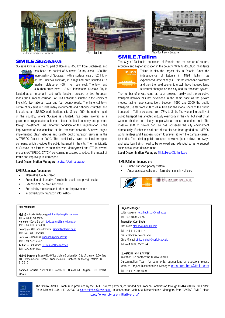





Bus Improvements - Suceava

### **SMILE.Suceava**

Suceava City lies in the NE part of Romania, 450 km from Bucharest, and



**Bases** has been the capital of Suceava County since 1388.The municipality of Suceava, with a surface area of 52.1 km<sup>2</sup> on the Suceava riverside, in a highland area situated at a medium altitude of 400m from sea level. The town and suburban areas have 118 500 inhabitants. Suceava City is

located at an important road traffic junction, crossed by two European roads (the European corridor 9 of TINA network is situated in the vicinity of the city), five national roads and four county roads. The historical town centre of Suceava includes many monuments and orthodox churches and is declared an UNESCO world heritage site. Since 1999, the northern part of the country, where Suceava is situated, has been involved in a government regeneration scheme to boost the local economy and promote foreign investment. One important condition of this regeneration is the improvement of the condition of the transport network. Suceava began implementing clean vehicles and quality public transport services in the ALTERECO Project in 2000. The municipality owns the local transport company, which provides the public transport in the city. The municipality of Suceava has formed partnerships with Merseytravel and CTP in several projects (ALTERECO, CATCH) concerning measures to reduce the impact of traffic and improve public transport.

#### Local Dissemination Manager: narcisan@primariasv.ro

#### SMILE.Suceava focuses on

- Alternative fuel bus fleet
- Promotion of alternative fuels in the public and private sector
- Extension of low emission zone
- Bus priority measures and other bus improvements
- Improved public transport information

#### **Site Managers**

Malmö - Patrik Widerberg patrik.widerberg@malmo.se Tel: + 46 40 34 13 99 Norwich - David Sprunt david.sprunt@norfolk.gov.uk Tel: + 44 1603 222480 Potenza – Alessandra Improta aimprota@meet.na.it Tel: +39 081 2462494 Suceava – Dan Dura dandura@primariasv.ro Tel: + 40 7226 20020 Tallinn – Tiit Laiksoo Tiit.Laiksoo@tallinnlv.ee Tel: +372 640 4680

Malmö Partners: Malmö EU-Office . Malmö University . City of Malmö . E.ON Gas AB . Skånemejerier . UMAS . Skånetrafiken . Sunfleet Car sharing . Malmö LBC . 215 215

Norwich Partners: Norwich CC . Norfolk CC . UEA (CRed) . Anglian . First . Smart Moves

#### **SMILE.Tallinn**

The City of Tallinn is the capital of Estonia and the center of culture, economy and higher education in the country. With its 400,000 inhabitants



Tallinn is also the largest city in Estonia. Since the independence of Estonia in 1991 Tallinn has experienced large changes. First the economic downturn and then the rapid economic growth have imposed large structural changes on the city and its transport system.

The number of private cars has been growing rapidly and the collective transport network has not developed in the same pace as the private modes, facing huge competition. Between 1990 and 2000 the public transport use fell from 250 to 94 million and the modal share of the public transport in Tallinn collapsed from 77% to 31%. The worsening quality of public transport has affected virtually everybody in the city, but most of all women, children and elderly people who are most dependent on it. The massive shift to private car use has worsened the city environment dramatically. Further the old part of the city has been graded as UNESCO world heritage and it appears urgent to prevent it from the damage caused by traffic. The existing public transport networks (bus, trolleys, tramways and suburban trains) need to be renewed and extended so as to support sustainable urban development.

Local Dissemination Manager: Tiit.Laiksoo@tallinnlv.ee

#### SMILE.Tallinn focuses on:

- Public transport priority system
- Automatic stop calls and information signs in vehicles



#### Project Manager

Lotta Hauksson lotta.hauksson@malmo.se Tel: +46 40 34 20 78

#### Evaluation Coordinator

Alan Lewis alan.lewis@ttr-ltd.com Tel: +44 115 941 1141

#### Dissemination Coordinator

Chris Mitchell chris.mitchell@norfolk.gov.uk Tel: +44 1603 223194

#### Questions and answers

Invitation: To contact the CIVITAS SMILE

Dissemination Team for comments, suggestions or questions please write to Project Dissemination Manager chris.humphrey@ttr-ltd.com Tel: +44 117 907 6520



http://www.civitas-initiative.org/ The CIVITAS SMILE Brochure is produced by the SMILE project partners, co-funded by European Commission through CIVITAS INITIATIVE Editor: Clare Mitchell +44 117 3283223 clare.mitchell@uwe.ac.uk in cooperation with Site Dissemination Managers from CIVITAS SMILE cities